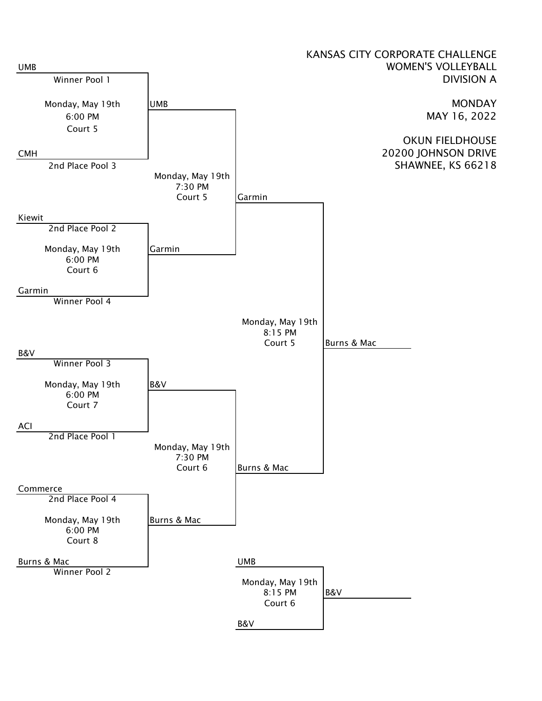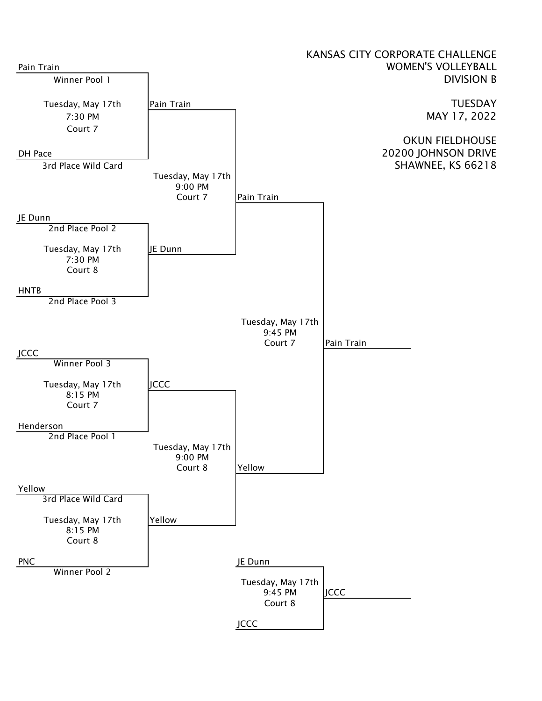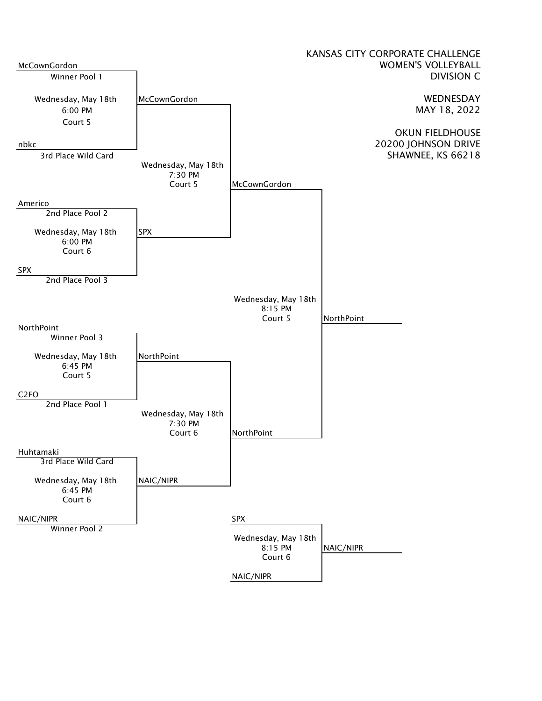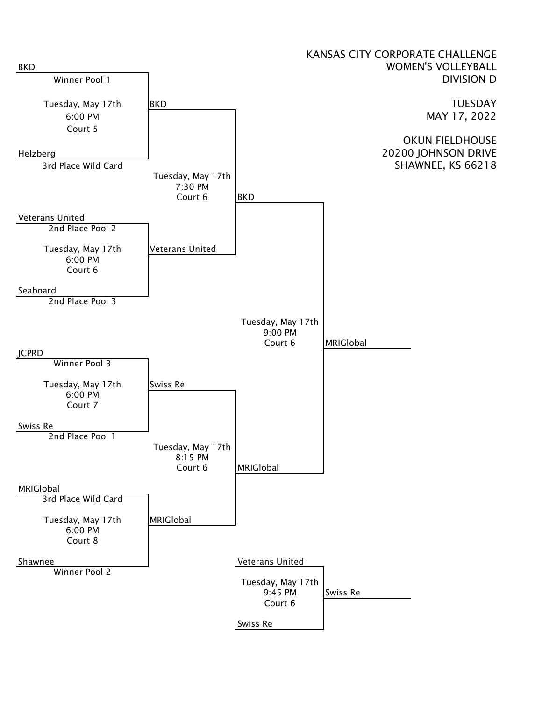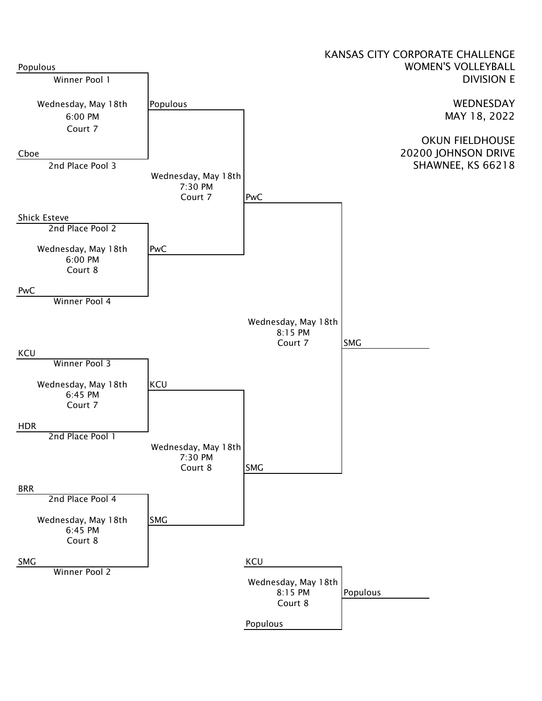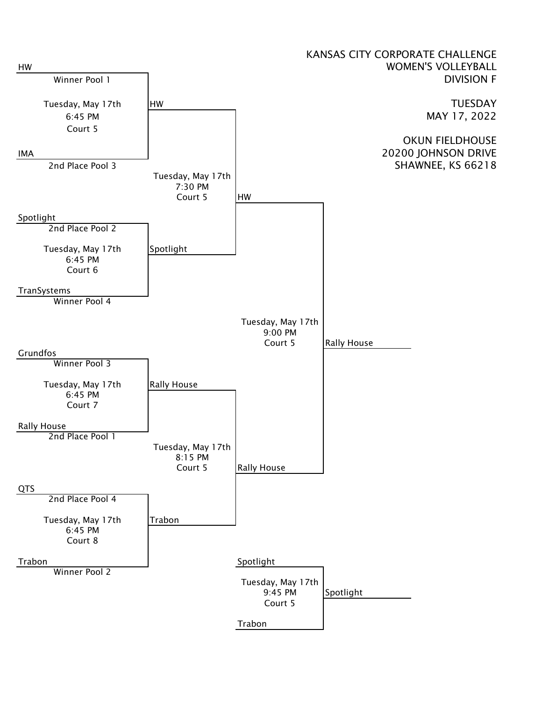